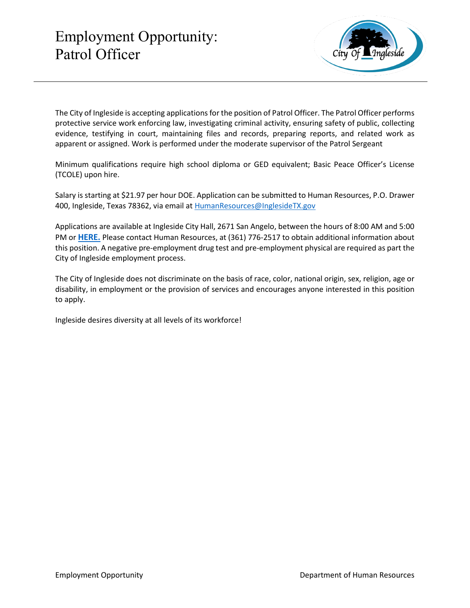

The City of Ingleside is accepting applications for the position of Patrol Officer. The Patrol Officer performs protective service work enforcing law, investigating criminal activity, ensuring safety of public, collecting evidence, testifying in court, maintaining files and records, preparing reports, and related work as apparent or assigned. Work is performed under the moderate supervisor of the Patrol Sergeant

Minimum qualifications require high school diploma or GED equivalent; Basic Peace Officer's License (TCOLE) upon hire.

Salary is starting at \$21.97 per hour DOE. Application can be submitted to Human Resources, P.O. Drawer 400, Ingleside, Texas 78362, via email a[t HumanResources@InglesideTX.gov](mailto:HumanResources@InglesideTX.gov)

Applications are available at Ingleside City Hall, 2671 San Angelo, between the hours of 8:00 AM and 5:00 PM or **[HERE.](https://itx.nyc3.cdn.digitaloceanspaces.com/wp-content/uploads/2021/08/employment-application-fillable-POLICE-DEPARTMENT123.pdf)** Please contact Human Resources, at (361) 776-2517 to obtain additional information about this position. A negative pre-employment drug test and pre-employment physical are required as part the City of Ingleside employment process.

The City of Ingleside does not discriminate on the basis of race, color, national origin, sex, religion, age or disability, in employment or the provision of services and encourages anyone interested in this position to apply.

Ingleside desires diversity at all levels of its workforce!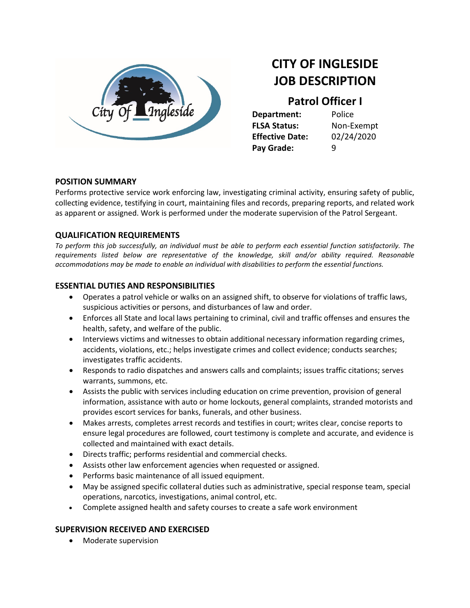

# **CITY OF INGLESIDE JOB DESCRIPTION**

## **Patrol Officer I**

**Department:** Police **FLSA Status:** Non-Exempt **Effective Date:** 02/24/2020 **Pay Grade:** 9

#### **POSITION SUMMARY**

Performs protective service work enforcing law, investigating criminal activity, ensuring safety of public, collecting evidence, testifying in court, maintaining files and records, preparing reports, and related work as apparent or assigned. Work is performed under the moderate supervision of the Patrol Sergeant.

#### **QUALIFICATION REQUIREMENTS**

*To perform this job successfully, an individual must be able to perform each essential function satisfactorily. The requirements listed below are representative of the knowledge, skill and/or ability required. Reasonable accommodations may be made to enable an individual with disabilities to perform the essential functions.*

#### **ESSENTIAL DUTIES AND RESPONSIBILITIES**

- Operates a patrol vehicle or walks on an assigned shift, to observe for violations of traffic laws, suspicious activities or persons, and disturbances of law and order.
- Enforces all State and local laws pertaining to criminal, civil and traffic offenses and ensures the health, safety, and welfare of the public.
- Interviews victims and witnesses to obtain additional necessary information regarding crimes, accidents, violations, etc.; helps investigate crimes and collect evidence; conducts searches; investigates traffic accidents.
- Responds to radio dispatches and answers calls and complaints; issues traffic citations; serves warrants, summons, etc.
- Assists the public with services including education on crime prevention, provision of general information, assistance with auto or home lockouts, general complaints, stranded motorists and provides escort services for banks, funerals, and other business.
- Makes arrests, completes arrest records and testifies in court; writes clear, concise reports to ensure legal procedures are followed, court testimony is complete and accurate, and evidence is collected and maintained with exact details.
- Directs traffic; performs residential and commercial checks.
- Assists other law enforcement agencies when requested or assigned.
- Performs basic maintenance of all issued equipment.
- May be assigned specific collateral duties such as administrative, special response team, special operations, narcotics, investigations, animal control, etc.
- Complete assigned health and safety courses to create a safe work environment

#### **SUPERVISION RECEIVED AND EXERCISED**

• Moderate supervision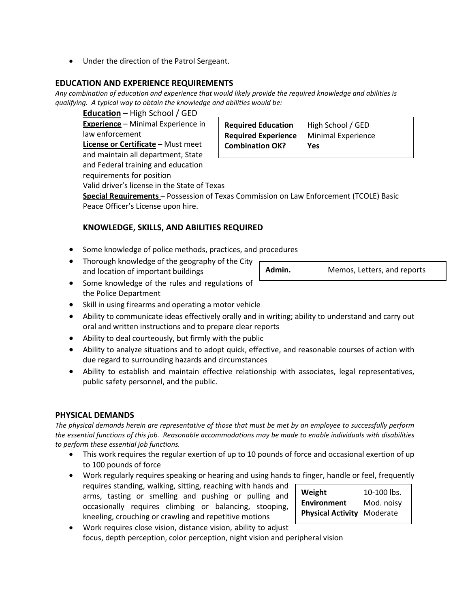• Under the direction of the Patrol Sergeant.

#### **EDUCATION AND EXPERIENCE REQUIREMENTS**

*Any combination of education and experience that would likely provide the required knowledge and abilities is qualifying. A typical way to obtain the knowledge and abilities would be:*

**Education** *–* High School / GED **Experience** – Minimal Experience in law enforcement

**License or Certificate** – Must meet and maintain all department, State and Federal training and education requirements for position

**Required Education** High School / GED **Required Experience** Minimal Experience **Combination OK? Yes**

Valid driver's license in the State of Texas

**Special Requirements** – Possession of Texas Commission on Law Enforcement (TCOLE) Basic Peace Officer's License upon hire.

### **KNOWLEDGE, SKILLS, AND ABILITIES REQUIRED**

- Some knowledge of police methods, practices, and procedures
- Thorough knowledge of the geography of the City and location of important buildings
- Some knowledge of the rules and regulations of the Police Department
- Skill in using firearms and operating a motor vehicle
- Ability to communicate ideas effectively orally and in writing; ability to understand and carry out oral and written instructions and to prepare clear reports
- Ability to deal courteously, but firmly with the public
- Ability to analyze situations and to adopt quick, effective, and reasonable courses of action with due regard to surrounding hazards and circumstances
- Ability to establish and maintain effective relationship with associates, legal representatives, public safety personnel, and the public.

#### **PHYSICAL DEMANDS**

*The physical demands herein are representative of those that must be met by an employee to successfully perform the essential functions of this job. Reasonable accommodations may be made to enable individuals with disabilities to perform these essential job functions.*

- This work requires the regular exertion of up to 10 pounds of force and occasional exertion of up to 100 pounds of force
- Work regularly requires speaking or hearing and using hands to finger, handle or feel, frequently requires standing, walking, sitting, reaching with hands and arms, tasting or smelling and pushing or pulling and occasionally requires climbing or balancing, stooping, kneeling, crouching or crawling and repetitive motions
- Work requires close vision, distance vision, ability to adjust focus, depth perception, color perception, night vision and peripheral vision

**Weight** 10-100 lbs. **Environment** Mod. noisy **Physical Activity** Moderate

Admin. Memos, Letters, and reports